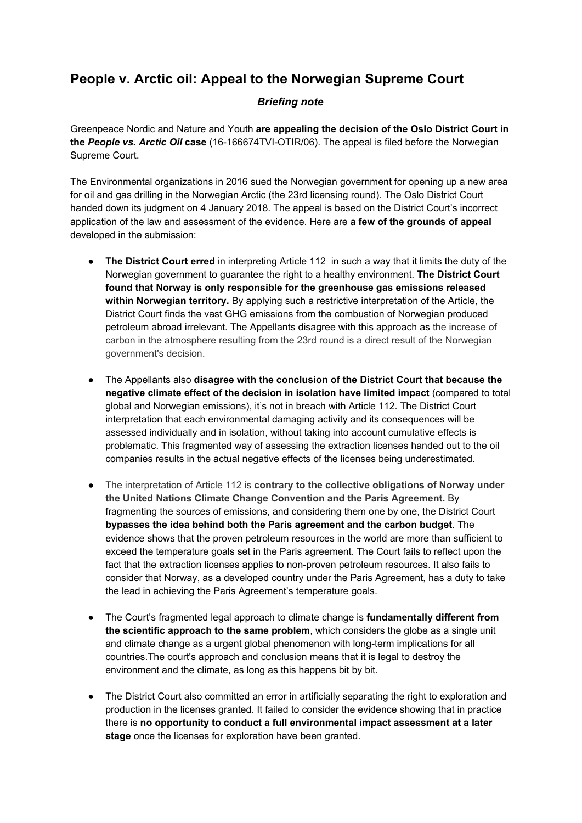## **People v. Arctic oil: Appeal to the Norwegian Supreme Court**

## *Briefing note*

Greenpeace Nordic and Nature and Youth **are appealing the decision of the Oslo District Court in the** *People vs. Arctic Oil* **case** (16-166674TVI-OTIR/06). The appeal is filed before the Norwegian Supreme Court.

The Environmental organizations in 2016 sued the Norwegian government for opening up a new area for oil and gas drilling in the Norwegian Arctic (the 23rd licensing round). The Oslo District Court handed down its judgment on 4 January 2018. The appeal is based on the District Court's incorrect application of the law and assessment of the evidence. Here are **a few of the grounds of appeal** developed in the submission:

- **The District Court erred** in interpreting Article 112 in such a way that it limits the duty of the Norwegian government to guarantee the right to a healthy environment. **The District Court found that Norway is only responsible for the greenhouse gas emissions released within Norwegian territory.** By applying such a restrictive interpretation of the Article, the District Court finds the vast GHG emissions from the combustion of Norwegian produced petroleum abroad irrelevant. The Appellants disagree with this approach as the increase of carbon in the atmosphere resulting from the 23rd round is a direct result of the Norwegian government's decision.
- The Appellants also **disagree with the conclusion of the District Court that because the negative climate effect of the decision in isolation have limited impact** (compared to total global and Norwegian emissions), it's not in breach with Article 112. The District Court interpretation that each environmental damaging activity and its consequences will be assessed individually and in isolation, without taking into account cumulative effects is problematic. This fragmented way of assessing the extraction licenses handed out to the oil companies results in the actual negative effects of the licenses being underestimated.
- The interpretation of Article 112 is **contrary to the collective obligations of Norway under the United Nations Climate Change Convention and the Paris Agreement.** By fragmenting the sources of emissions, and considering them one by one, the District Court **bypasses the idea behind both the Paris agreement and the carbon budget**. The evidence shows that the proven petroleum resources in the world are more than sufficient to exceed the temperature goals set in the Paris agreement. The Court fails to reflect upon the fact that the extraction licenses applies to non-proven petroleum resources. It also fails to consider that Norway, as a developed country under the Paris Agreement, has a duty to take the lead in achieving the Paris Agreement's temperature goals.
- The Court's fragmented legal approach to climate change is **fundamentally different from the scientific approach to the same problem**, which considers the globe as a single unit and climate change as a urgent global phenomenon with long-term implications for all countries.The court's approach and conclusion means that it is legal to destroy the environment and the climate, as long as this happens bit by bit.
- The District Court also committed an error in artificially separating the right to exploration and production in the licenses granted. It failed to consider the evidence showing that in practice there is **no opportunity to conduct a full environmental impact assessment at a later stage** once the licenses for exploration have been granted.